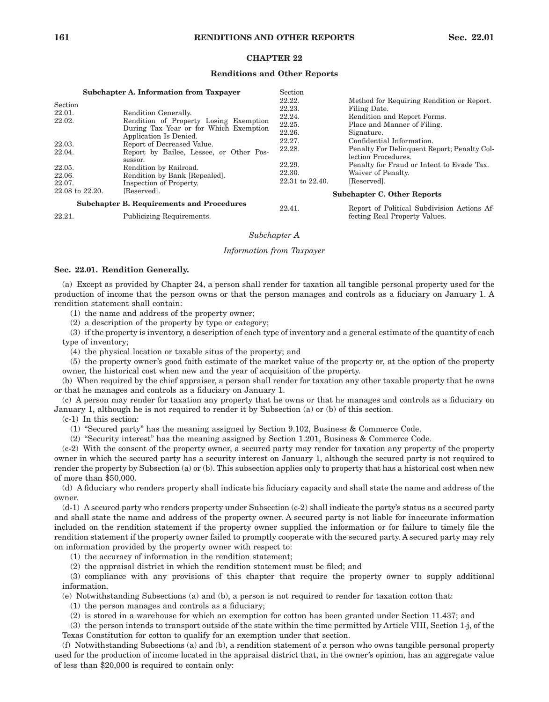# **CHAPTER 22**

## **Renditions and Other Reports**

 $\sim$ 

|                 | <b>Subchapter A. Information from Taxpayer</b>   | Section          |                                                           |
|-----------------|--------------------------------------------------|------------------|-----------------------------------------------------------|
| Section         |                                                  | 22.22.<br>22.23. | Method for Requiring Rendition or Report.<br>Filing Date. |
| 22.01.          | Rendition Generally.                             |                  |                                                           |
| 22.02.          | Rendition of Property Losing Exemption           | 22.24.           | Rendition and Report Forms.                               |
|                 | During Tax Year or for Which Exemption           | 22.25.           | Place and Manner of Filing.                               |
|                 | Application Is Denied.                           | 22.26.           | Signature.                                                |
| 22.03.          | Report of Decreased Value.                       | 22.27.           | Confidential Information.                                 |
| 22.04.          | Report by Bailee, Lessee, or Other Pos-          | 22.28.           | Penalty For Delinquent Report; Penalty Col-               |
|                 | sessor.                                          |                  | lection Procedures.                                       |
| 22.05.          | Rendition by Railroad.                           | 22.29.           | Penalty for Fraud or Intent to Evade Tax.                 |
| 22.06.          | Rendition by Bank [Repealed].                    | 22.30.           | Waiver of Penalty.                                        |
| 22.07.          | Inspection of Property.                          | 22.31 to 22.40.  | [Reserved].                                               |
| 22.08 to 22.20. | [Reserved].                                      |                  | <b>Subchapter C. Other Reports</b>                        |
|                 | <b>Subchapter B. Requirements and Procedures</b> | 22.41.           | Report of Political Subdivision Actions Af-               |
| 22.21.          | Publicizing Requirements.                        |                  | fecting Real Property Values.                             |

22.21. Publicizing Requirements.

# *Subchapter A*

### *Information from Taxpayer*

# **Sec. 22.01. Rendition Generally.**

(a) Except as provided by Chapter 24, a person shall render for taxation all tangible personal property used for the production of income that the person owns or that the person manages and controls as a fiduciary on January 1. A rendition statement shall contain:

(1) the name and address of the property owner;

(2) a description of the property by type or category;

(3) if the property is inventory, a description of each type of inventory and a general estimate of the quantity of each type of inventory;

(4) the physical location or taxable situs of the property; and

(5) the property owner's good faith estimate of the market value of the property or, at the option of the property owner, the historical cost when new and the year of acquisition of the property.

(b) When required by the chief appraiser, a person shall render for taxation any other taxable property that he owns or that he manages and controls as a fiduciary on January 1.

(c) A person may render for taxation any property that he owns or that he manages and controls as a fiduciary on January 1, although he is not required to render it by Subsection (a) or (b) of this section.

(c-1) In this section:

(1) "Secured party" has the meaning assigned by Section 9.102, Business & Commerce Code.

(2) "Security interest" has the meaning assigned by Section 1.201, Business & Commerce Code.

(c-2) With the consent of the property owner, a secured party may render for taxation any property of the property owner in which the secured party has a security interest on January 1, although the secured party is not required to render the property by Subsection (a) or (b). This subsection applies only to property that has a historical cost when new of more than \$50,000.

(d) A fiduciary who renders property shall indicate his fiduciary capacity and shall state the name and address of the owner.

(d-1) A secured party who renders property under Subsection (c-2) shall indicate the party's status as a secured party and shall state the name and address of the property owner. A secured party is not liable for inaccurate information included on the rendition statement if the property owner supplied the information or for failure to timely file the rendition statement if the property owner failed to promptly cooperate with the secured party. A secured party may rely on information provided by the property owner with respect to:

(1) the accuracy of information in the rendition statement;

(2) the appraisal district in which the rendition statement must be filed; and

(3) compliance with any provisions of this chapter that require the property owner to supply additional information.

(e) Notwithstanding Subsections (a) and (b), a person is not required to render for taxation cotton that:

(1) the person manages and controls as a fiduciary;

(2) is stored in a warehouse for which an exemption for cotton has been granted under Section 11.437; and

(3) the person intends to transport outside of the state within the time permitted by Article VIII, Section 1-j, of the Texas Constitution for cotton to qualify for an exemption under that section.

(f) Notwithstanding Subsections (a) and (b), a rendition statement of a person who owns tangible personal property used for the production of income located in the appraisal district that, in the owner's opinion, has an aggregate value of less than \$20,000 is required to contain only: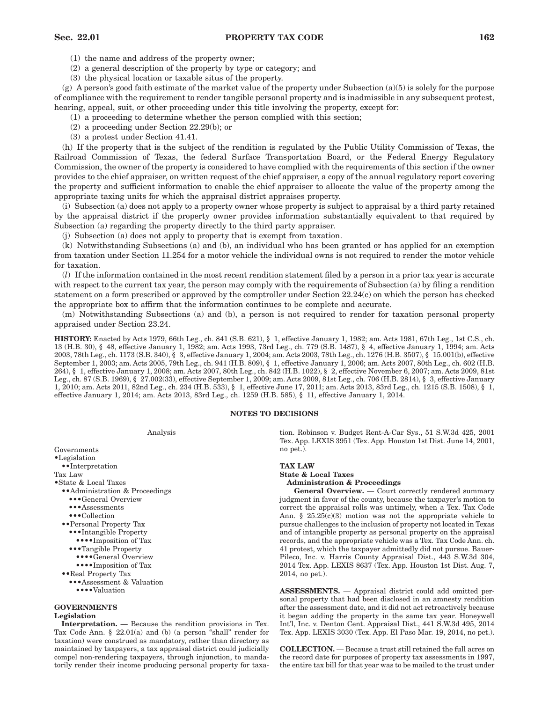# **Sec. 22.01 PROPERTY TAX CODE 162**

(1) the name and address of the property owner;

(2) a general description of the property by type or category; and

(3) the physical location or taxable situs of the property.

(g) A person's good faith estimate of the market value of the property under Subsection  $(a)(5)$  is solely for the purpose of compliance with the requirement to render tangible personal property and is inadmissible in any subsequent protest, hearing, appeal, suit, or other proceeding under this title involving the property, except for:

(1) a proceeding to determine whether the person complied with this section;

(2) a proceeding under Section 22.29(b); or

(3) a protest under Section 41.41.

(h) If the property that is the subject of the rendition is regulated by the Public Utility Commission of Texas, the Railroad Commission of Texas, the federal Surface Transportation Board, or the Federal Energy Regulatory Commission, the owner of the property is considered to have complied with the requirements of this section if the owner provides to the chief appraiser, on written request of the chief appraiser, a copy of the annual regulatory report covering the property and sufficient information to enable the chief appraiser to allocate the value of the property among the appropriate taxing units for which the appraisal district appraises property.

(i) Subsection (a) does not apply to a property owner whose property is subject to appraisal by a third party retained by the appraisal district if the property owner provides information substantially equivalent to that required by Subsection (a) regarding the property directly to the third party appraiser.

(j) Subsection (a) does not apply to property that is exempt from taxation.

(k) Notwithstanding Subsections (a) and (b), an individual who has been granted or has applied for an exemption from taxation under Section 11.254 for a motor vehicle the individual owns is not required to render the motor vehicle for taxation.

(*l*) If the information contained in the most recent rendition statement filed by a person in a prior tax year is accurate with respect to the current tax year, the person may comply with the requirements of Subsection (a) by filing a rendition statement on a form prescribed or approved by the comptroller under Section 22.24(c) on which the person has checked the appropriate box to affirm that the information continues to be complete and accurate.

(m) Notwithstanding Subsections (a) and (b), a person is not required to render for taxation personal property appraised under Section 23.24.

**HISTORY:** Enacted by Acts 1979, 66th Leg., ch. 841 (S.B. 621), § 1, effective January 1, 1982; am. Acts 1981, 67th Leg., 1st C.S., ch. 13 (H.B. 30), § 48, effective January 1, 1982; am. Acts 1993, 73rd Leg., ch. 779 (S.B. 1487), § 4, effective January 1, 1994; am. Acts 2003, 78th Leg., ch. 1173 (S.B. 340), § 3, effective January 1, 2004; am. Acts 2003, 78th Leg., ch. 1276 (H.B. 3507), § 15.001(b), effective September 1, 2003; am. Acts 2005, 79th Leg., ch. 941 (H.B. 809), § 1, effective January 1, 2006; am. Acts 2007, 80th Leg., ch. 602 (H.B. 264), § 1, effective January 1, 2008; am. Acts 2007, 80th Leg., ch. 842 (H.B. 1022), § 2, effective November 6, 2007; am. Acts 2009, 81st Leg., ch. 87 (S.B. 1969), § 27.002(33), effective September 1, 2009; am. Acts 2009, 81st Leg., ch. 706 (H.B. 2814), § 3, effective January 1, 2010; am. Acts 2011, 82nd Leg., ch. 234 (H.B. 533), § 1, effective June 17, 2011; am. Acts 2013, 83rd Leg., ch. 1215 (S.B. 1508), § 1, effective January 1, 2014; am. Acts 2013, 83rd Leg., ch. 1259 (H.B. 585), § 11, effective January 1, 2014.

#### **NOTES TO DECISIONS**

| Analysis                        | tion. Robinson v. Budget Rent-A-Car Sys., 51 S.W.3d 425, 2001<br>Tex. App. LEXIS 3951 (Tex. App. Houston 1st Dist. June 14, 2001, |  |  |
|---------------------------------|-----------------------------------------------------------------------------------------------------------------------------------|--|--|
| Governments                     | no pet.).                                                                                                                         |  |  |
| •Legislation                    |                                                                                                                                   |  |  |
| •• Interpretation               | <b>TAX LAW</b>                                                                                                                    |  |  |
| Tax Law                         | <b>State &amp; Local Taxes</b>                                                                                                    |  |  |
| • State & Local Taxes           | <b>Administration &amp; Proceedings</b>                                                                                           |  |  |
| •• Administration & Proceedings | <b>General Overview.</b> — Court correctly rendered summary                                                                       |  |  |
| ••• General Overview            | judgment in favor of the county, because the taxpayer's motion to                                                                 |  |  |
| ••• Assessments                 | correct the appraisal rolls was untimely, when a Tex. Tax Code                                                                    |  |  |
| $\bullet \bullet$ Collection    | Ann. § 25.25(c)(3) motion was not the appropriate vehicle to                                                                      |  |  |
| •• Personal Property Tax        | pursue challenges to the inclusion of property not located in Texas                                                               |  |  |
| •••Intangible Property          | and of intangible property as personal property on the appraisal                                                                  |  |  |
| •••• Imposition of Tax          | records, and the appropriate vehicle was a Tex. Tax Code Ann. ch.                                                                 |  |  |
| ••• Tangible Property           | 41 protest, which the taxpayer admittedly did not pursue. Bauer-                                                                  |  |  |
| •••• General Overview           | Pileco, Inc. v. Harris County Appraisal Dist., 443 S.W.3d 304,                                                                    |  |  |
| •••• Imposition of Tax          | 2014 Tex. App. LEXIS 8637 (Tex. App. Houston 1st Dist. Aug. 7,                                                                    |  |  |
| •• Real Property Tax            | $2014$ , no pet.).                                                                                                                |  |  |
| ••• Assessment & Valuation      |                                                                                                                                   |  |  |
| •••• Valuation                  | <b>ASSESSMENTS.</b> — Appraisal district could add omitted per-<br>sonal property that had been disclosed in an amnesty rendition |  |  |
| <b>GOVERNMENTS</b>              | after the assessment date, and it did not act retroactively because                                                               |  |  |
| Legislation                     | it began adding the property in the same tax year. Honeywell                                                                      |  |  |

# **Legislation**

**Interpretation.** — Because the rendition provisions in Tex. Tax Code Ann. § 22.01(a) and (b) (a person "shall" render for taxation) were construed as mandatory, rather than directory as maintained by taxpayers, a tax appraisal district could judicially compel non-rendering taxpayers, through injunction, to mandatorily render their income producing personal property for taxa-

**COLLECTION.** — Because a trust still retained the full acres on the record date for purposes of property tax assessments in 1997, the entire tax bill for that year was to be mailed to the trust under

Int'l, Inc. v. Denton Cent. Appraisal Dist., 441 S.W.3d 495, 2014 Tex. App. LEXIS 3030 (Tex. App. El Paso Mar. 19, 2014, no pet.).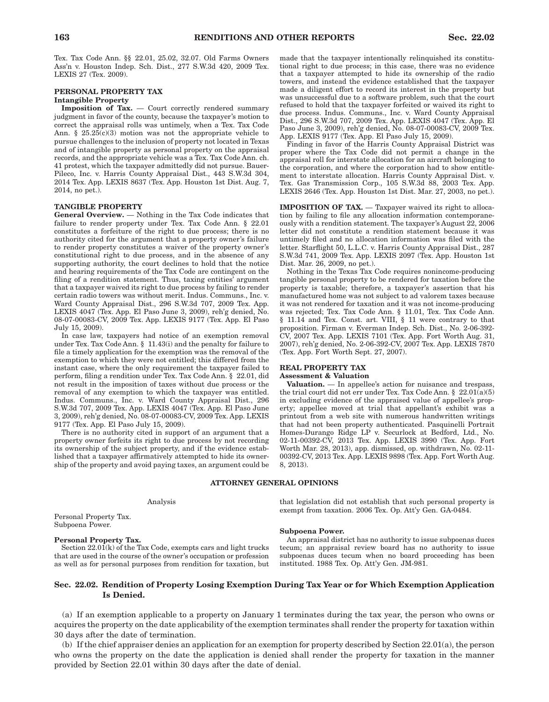Tex. Tax Code Ann. §§ 22.01, 25.02, 32.07. Old Farms Owners Ass'n v. Houston Indep. Sch. Dist., 277 S.W.3d 420, 2009 Tex. LEXIS 27 (Tex. 2009).

### **PERSONAL PROPERTY TAX Intangible Property**

**Imposition of Tax.** — Court correctly rendered summary judgment in favor of the county, because the taxpayer's motion to correct the appraisal rolls was untimely, when a Tex. Tax Code Ann.  $\S$  25.25(c)(3) motion was not the appropriate vehicle to pursue challenges to the inclusion of property not located in Texas and of intangible property as personal property on the appraisal records, and the appropriate vehicle was a Tex. Tax Code Ann. ch. 41 protest, which the taxpayer admittedly did not pursue. Bauer-Pileco, Inc. v. Harris County Appraisal Dist., 443 S.W.3d 304, 2014 Tex. App. LEXIS 8637 (Tex. App. Houston 1st Dist. Aug. 7, 2014, no pet.).

# **TANGIBLE PROPERTY**

**General Overview.** — Nothing in the Tax Code indicates that failure to render property under Tex. Tax Code Ann. § 22.01 constitutes a forfeiture of the right to due process; there is no authority cited for the argument that a property owner's failure to render property constitutes a waiver of the property owner's constitutional right to due process, and in the absence of any supporting authority, the court declines to hold that the notice and hearing requirements of the Tax Code are contingent on the filing of a rendition statement. Thus, taxing entities' argument that a taxpayer waived its right to due process by failing to render certain radio towers was without merit. Indus. Communs., Inc. v. Ward County Appraisal Dist., 296 S.W.3d 707, 2009 Tex. App. LEXIS 4047 (Tex. App. El Paso June 3, 2009), reh'g denied, No. 08-07-00083-CV, 2009 Tex. App. LEXIS 9177 (Tex. App. El Paso July 15, 2009).

In case law, taxpayers had notice of an exemption removal under Tex. Tax Code Ann. § 11.43(i) and the penalty for failure to file a timely application for the exemption was the removal of the exemption to which they were not entitled; this differed from the instant case, where the only requirement the taxpayer failed to perform, filing a rendition under Tex. Tax Code Ann. § 22.01, did not result in the imposition of taxes without due process or the removal of any exemption to which the taxpayer was entitled. Indus. Communs., Inc. v. Ward County Appraisal Dist., 296 S.W.3d 707, 2009 Tex. App. LEXIS 4047 (Tex. App. El Paso June 3, 2009), reh'g denied, No. 08-07-00083-CV, 2009 Tex. App. LEXIS 9177 (Tex. App. El Paso July 15, 2009).

There is no authority cited in support of an argument that a property owner forfeits its right to due process by not recording its ownership of the subject property, and if the evidence established that a taxpayer affirmatively attempted to hide its ownership of the property and avoid paying taxes, an argument could be

# **ATTORNEY GENERAL OPINIONS**

#### Analysis

Personal Property Tax. Subpoena Power.

#### **Personal Property Tax.**

Section  $22.01(k)$  of the Tax Code, exempts cars and light trucks that are used in the course of the owner's occupation or profession as well as for personal purposes from rendition for taxation, but

#### made that the taxpayer intentionally relinquished its constitutional right to due process; in this case, there was no evidence that a taxpayer attempted to hide its ownership of the radio towers, and instead the evidence established that the taxpayer made a diligent effort to record its interest in the property but was unsuccessful due to a software problem, such that the court refused to hold that the taxpayer forfeited or waived its right to due process. Indus. Communs., Inc. v. Ward County Appraisal Dist., 296 S.W.3d 707, 2009 Tex. App. LEXIS 4047 (Tex. App. El Paso June 3, 2009), reh'g denied, No. 08-07-00083-CV, 2009 Tex. App. LEXIS 9177 (Tex. App. El Paso July 15, 2009).

Finding in favor of the Harris County Appraisal District was proper where the Tax Code did not permit a change in the appraisal roll for interstate allocation for an aircraft belonging to the corporation, and where the corporation had to show entitlement to interstate allocation. Harris County Appraisal Dist. v. Tex. Gas Transmission Corp., 105 S.W.3d 88, 2003 Tex. App. LEXIS 2646 (Tex. App. Houston 1st Dist. Mar. 27, 2003, no pet.).

**IMPOSITION OF TAX.** — Taxpayer waived its right to allocation by failing to file any allocation information contemporaneously with a rendition statement. The taxpayer's August 22, 2006 letter did not constitute a rendition statement because it was untimely filed and no allocation information was filed with the letter. Starflight 50, L.L.C. v. Harris County Appraisal Dist., 287 S.W.3d 741, 2009 Tex. App. LEXIS 2097 (Tex. App. Houston 1st Dist. Mar. 26, 2009, no pet.).

Nothing in the Texas Tax Code requires nonincome-producing tangible personal property to be rendered for taxation before the property is taxable; therefore, a taxpayer's assertion that his manufactured home was not subject to ad valorem taxes because it was not rendered for taxation and it was not income-producing was rejected; Tex. Tax Code Ann. § 11.01, Tex. Tax Code Ann. § 11.14 and Tex. Const. art. VIII, § 11 were contrary to that proposition. Firman v. Everman Indep. Sch. Dist., No. 2-06-392- CV, 2007 Tex. App. LEXIS 7101 (Tex. App. Fort Worth Aug. 31, 2007), reh'g denied, No. 2-06-392-CV, 2007 Tex. App. LEXIS 7870 (Tex. App. Fort Worth Sept. 27, 2007).

# **REAL PROPERTY TAX**

#### **Assessment & Valuation**

**Valuation.** — In appellee's action for nuisance and trespass, the trial court did not err under Tex. Tax Code Ann. § 22.01(a)(5) in excluding evidence of the appraised value of appellee's property; appellee moved at trial that appellant's exhibit was a printout from a web site with numerous handwritten writings that had not been property authenticated. Pasquinelli Portrait Homes-Durango Ridge LP v. Securlock at Bedford, Ltd., No. 02-11-00392-CV, 2013 Tex. App. LEXIS 3990 (Tex. App. Fort Worth Mar. 28, 2013), app. dismissed, op. withdrawn, No. 02-11- 00392-CV, 2013 Tex. App. LEXIS 9898 (Tex. App. Fort Worth Aug. 8, 2013).

that legislation did not establish that such personal property is exempt from taxation. 2006 Tex. Op. Att'y Gen. GA-0484.

### **Subpoena Power.**

An appraisal district has no authority to issue subpoenas duces tecum; an appraisal review board has no authority to issue subpoenas duces tecum when no board proceeding has been instituted. 1988 Tex. Op. Att'y Gen. JM-981.

# **Sec. 22.02. Rendition of Property Losing Exemption During Tax Year or for Which Exemption Application Is Denied.**

(a) If an exemption applicable to a property on January 1 terminates during the tax year, the person who owns or acquires the property on the date applicability of the exemption terminates shall render the property for taxation within 30 days after the date of termination.

(b) If the chief appraiser denies an application for an exemption for property described by Section 22.01(a), the person who owns the property on the date the application is denied shall render the property for taxation in the manner provided by Section 22.01 within 30 days after the date of denial.